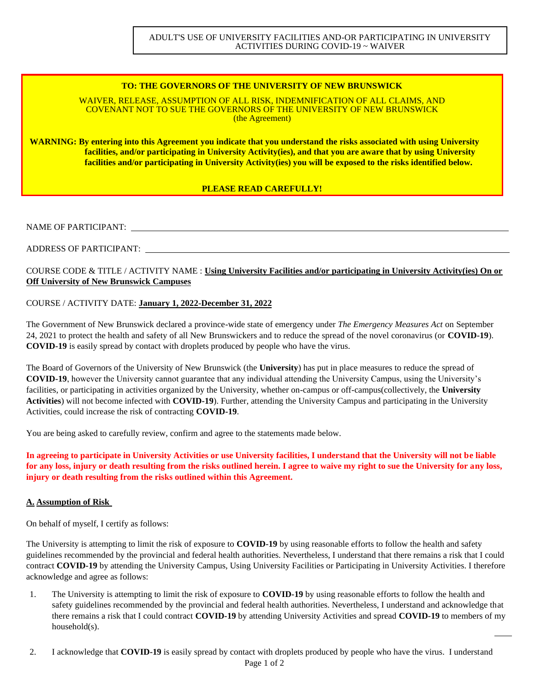## **TO: THE GOVERNORS OF THE UNIVERSITY OF NEW BRUNSWICK**

WAIVER, RELEASE, ASSUMPTION OF ALL RISK, INDEMNIFICATION OF ALL CLAIMS, AND COVENANT NOT TO SUE THE GOVERNORS OF THE UNIVERSITY OF NEW BRUNSWICK (the Agreement)

**WARNING: By entering into this Agreement you indicate that you understand the risks associated with using University facilities, and/or participating in University Activity(ies), and that you are aware that by using University facilities and/or participating in University Activity(ies) you will be exposed to the risks identified below.**

## **PLEASE READ CAREFULLY!**

### NAME OF PARTICIPANT:

## ADDRESS OF PARTICIPANT:

# COURSE CODE & TITLE / ACTIVITY NAME : **Using University Facilities and/or participating in University Activity(ies) On or Off University of New Brunswick Campuses**

## COURSE / ACTIVITY DATE: **January 1, 2022-December 31, 2022**

The Government of New Brunswick declared a province-wide state of emergency under *The Emergency Measures Act* on September 24, 2021 to protect the health and safety of all New Brunswickers and to reduce the spread of the novel coronavirus (or **COVID-19**). **COVID-19** is easily spread by contact with droplets produced by people who have the virus.

The Board of Governors of the University of New Brunswick (the **University**) has put in place measures to reduce the spread of **COVID-19**, however the University cannot guarantee that any individual attending the University Campus, using the University's facilities, or participating in activities organized by the University, whether on-campus or off-campus(collectively, the **University Activities**) will not become infected with **COVID-19**). Further, attending the University Campus and participating in the University Activities, could increase the risk of contracting **COVID-19**.

You are being asked to carefully review, confirm and agree to the statements made below.

**In agreeing to participate in University Activities or use University facilities, I understand that the University will not be liable for any loss, injury or death resulting from the risks outlined herein. I agree to waive my right to sue the University for any loss, injury or death resulting from the risks outlined within this Agreement.**

### **A. Assumption of Risk**

On behalf of myself, I certify as follows:

The University is attempting to limit the risk of exposure to **COVID-19** by using reasonable efforts to follow the health and safety guidelines recommended by the provincial and federal health authorities. Nevertheless, I understand that there remains a risk that I could contract **COVID-19** by attending the University Campus, Using University Facilities or Participating in University Activities. I therefore acknowledge and agree as follows:

- 1. The University is attempting to limit the risk of exposure to **COVID-19** by using reasonable efforts to follow the health and safety guidelines recommended by the provincial and federal health authorities. Nevertheless, I understand and acknowledge that there remains a risk that I could contract **COVID-19** by attending University Activities and spread **COVID-19** to members of my household(s).
- 2. I acknowledge that **COVID-19** is easily spread by contact with droplets produced by people who have the virus. I understand